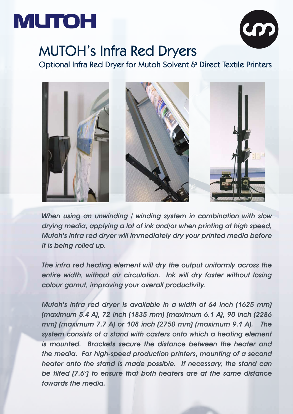## **MUTOH**



## MUTOH's Infra Red Dryers

Optional Infra Red Dryer for Mutoh Solvent & Direct Textile Printers



When using an unwinding / winding system in combination with slow drying media, applying a lot of ink and/or when printing at high speed, Mutoh's infra red dryer will immediately dry your printed media before it is being rolled up.

The infra red heating element will dry the output uniformly across the entire width, without air circulation. Ink will dry faster without losing colour gamut, improving your overall productivity.

Mutoh's infra red dryer is available in a width of 64 inch (1625 mm) (maximum 5.4 A), 72 inch (1835 mm) (maximum 6.1 A), 90 inch (2286 mm) (maximum 7.7 A) or 108 inch (2750 mm) (maximum 9.1 A). The system consists of a stand with casters onto which a heating element is mounted. Brackets secure the distance between the heater and the media. For high-speed production printers, mounting of a second heater onto the stand is made possible. If necessary, the stand can be tilted (7.6°) to ensure that both heaters are at the same distance towards the media.